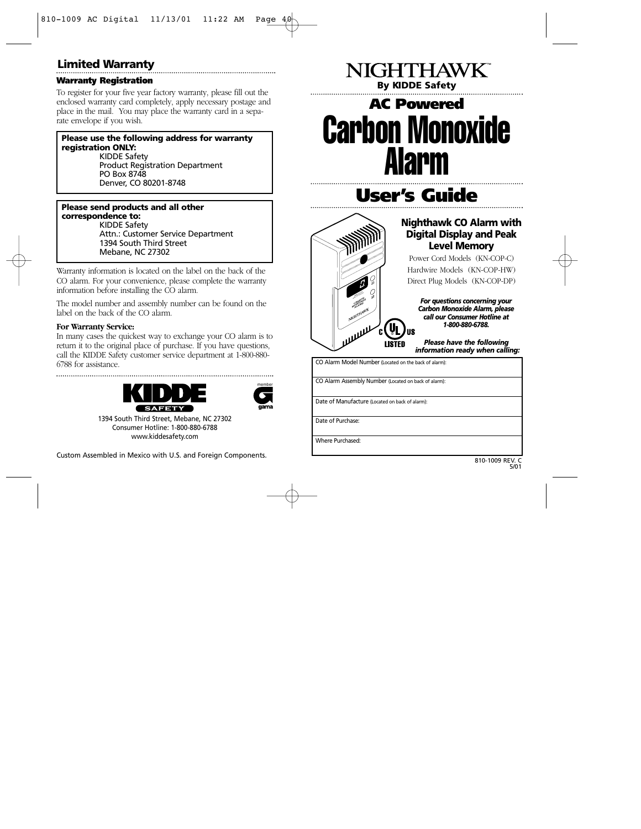## **Limited Warranty**

#### **Warranty Registration**

To register for your five year factory warranty, please fill out the enclosed warranty card completely, apply necessary postage and place in the mail. You may place the warranty card in a separate envelope if you wish.

#### **Please use the following address for warranty registration ONLY:**

KIDDE Safety Product Registration Department PO Box 8748 Denver, CO 80201-8748

#### **Please send products and all other correspondence to:**

KIDDE Safety Attn.: Customer Service Department 1394 South Third Street Mebane, NC 27302

Warranty information is located on the label on the back of the CO alarm. For your convenience, please complete the warranty information before installing the CO alarm.

The model number and assembly number can be found on the label on the back of the CO alarm.

#### **For Warranty Service:**

In many cases the quickest way to exchange your CO alarm is to return it to the original place of purchase. If you have questions, call the KIDDE Safety customer service department at 1-800-880- 6788 for assistance.





1394 South Third Street, Mebane, NC 27302 Consumer Hotline: 1-800-880-6788 www.kiddesafety.com

Custom Assembled in Mexico with U.S. and Foreign Components.

# **By KIDDE Safety AC Powered** Carbon Monoxide Alarm

NIGHTHAWK<sup>"</sup>

**User's Guide**



### **Nighthawk CO Alarm with Digital Display and Peak Level Memory**

Power Cord Models (KN-COP-C) Hardwire Models (KN-COP-HW) Direct Plug Models (KN-COP-DP)

*For questions concerning your Carbon Monoxide Alarm, please call our Consumer Hotline at 1-800-880-6788.*

*Please have the following information ready when calling:*

CO Alarm Model Number (Located on the back of alarm): CO Alarm Assembly Number (Located on back of alarm): Date of Manufacture (Located on back of alarm): Date of Purchase: Where Purchased: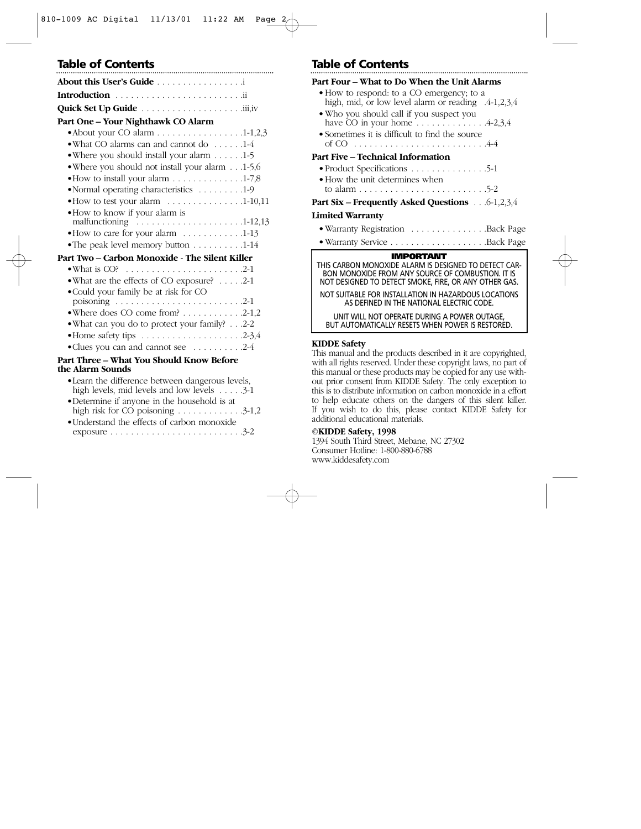#### **Part One – Your Nighthawk CO Alarm**

| • About your CO alarm 1-1,2,3                                               |
|-----------------------------------------------------------------------------|
| • What CO alarms can and cannot do 1-4                                      |
| • Where you should install your alarm 1-5                                   |
| • Where you should not install your alarm1-5,6                              |
|                                                                             |
| • Normal operating characteristics 1-9                                      |
| • How to test your alarm 1-10,11                                            |
| . How to know if your alarm is                                              |
| malfunctioning $\ldots \ldots \ldots \ldots \ldots \ldots \ldots 1-12,13$   |
| • How to care for your alarm 1-13                                           |
| • The peak level memory button 1-14                                         |
| Part Two – Carbon Monoxide - The Silent Killer                              |
| • What is CO? $\ldots \ldots \ldots \ldots \ldots \ldots \ldots \ldots 2-1$ |
| • What are the effects of CO exposure? $\dots$ .2-1                         |
| • Could your family be at risk for CO                                       |
| poisoning $\ldots \ldots \ldots \ldots \ldots \ldots \ldots \ldots \ldots$  |
| $\bullet$ Where does CO come from? 2-1,2                                    |
| $\bullet$ What can vou do to protect your family? 2.2                       |

- •What can you do to protect your family? . . .2-2 •Home safety tips . . . . . . . . . . . . . . . . . . . .2-3,4
- •Clues you can and cannot see . . . . . . . . . .2-4

#### **Part Three – What You Should Know Before the Alarm Sounds**

| • Learn the difference between dangerous levels,    |  |
|-----------------------------------------------------|--|
| high levels, mid levels and low levels $\dots$ .3-1 |  |

| • Determine if anyone in the household is at |  |  |  |                                                         |  |
|----------------------------------------------|--|--|--|---------------------------------------------------------|--|
|                                              |  |  |  | high risk for CO poisoning $\ldots \ldots \ldots 3-1,2$ |  |
|                                              |  |  |  |                                                         |  |

| • Understand the effects of carbon monoxide |  |                                                                            |
|---------------------------------------------|--|----------------------------------------------------------------------------|
|                                             |  | exposure $\dots \dots \dots \dots \dots \dots \dots \dots \dots \dots 3-2$ |

## **Table of Contents Table of Contents**

| Part Four – What to Do When the Unit Alarms                                                                |  |  |  |
|------------------------------------------------------------------------------------------------------------|--|--|--|
| • How to respond: to a CO emergency; to a                                                                  |  |  |  |
| high, mid, or low level alarm or reading .4-1,2,3,4                                                        |  |  |  |
| • Who you should call if you suspect you<br>have CO in your home $\ldots \ldots \ldots \ldots$ 4-2,3,4     |  |  |  |
| • Sometimes it is difficult to find the source                                                             |  |  |  |
|                                                                                                            |  |  |  |
| Part Five – Technical Information                                                                          |  |  |  |
| • Product Specifications $\ldots \ldots \ldots \ldots 5-1$                                                 |  |  |  |
| • How the unit determines when                                                                             |  |  |  |
|                                                                                                            |  |  |  |
| <b>Part Six – Frequently Asked Questions</b> 6-1,2,3,4                                                     |  |  |  |
| Limited Warrantv                                                                                           |  |  |  |
| • Warranty Registration Back Page                                                                          |  |  |  |
|                                                                                                            |  |  |  |
| <b>IMPORTANT</b>                                                                                           |  |  |  |
| THIS CARBON MONOXIDE ALARM IS DESIGNED TO DETECT CAR-<br>BON MONOXIDE FROM ANY SOURCE OF COMBUSTION. IT IS |  |  |  |
| NOT DESIGNED TO DETECT SMOKE, FIRE, OR ANY OTHER GAS.                                                      |  |  |  |
| NOT SUITABLE FOR INSTALLATION IN HAZARDOUS LOCATIONS<br>AS DEFINED IN THE NATIONAL ELECTRIC CODE.          |  |  |  |
|                                                                                                            |  |  |  |
| UNIT WILL NOT OPERATE DURING A POWER OUTAGE,<br><b>BUT AUTOMATICALLY RESETS WHEN POWER IS RESTORED.</b>    |  |  |  |

### **KIDDE Safety**

This manual and the products described in it are copyrighted, with all rights reserved. Under these copyright laws, no part of this manual or these products may be copied for any use without prior consent from KIDDE Safety. The only exception to this is to distribute information on carbon monoxide in a effort to help educate others on the dangers of this silent killer. If you wish to do this, please contact KIDDE Safety for additional educational materials.

### **©KIDDE Safety, 1998**

1394 South Third Street, Mebane, NC 27302 Consumer Hotline: 1-800-880-6788 www.kiddesafety.com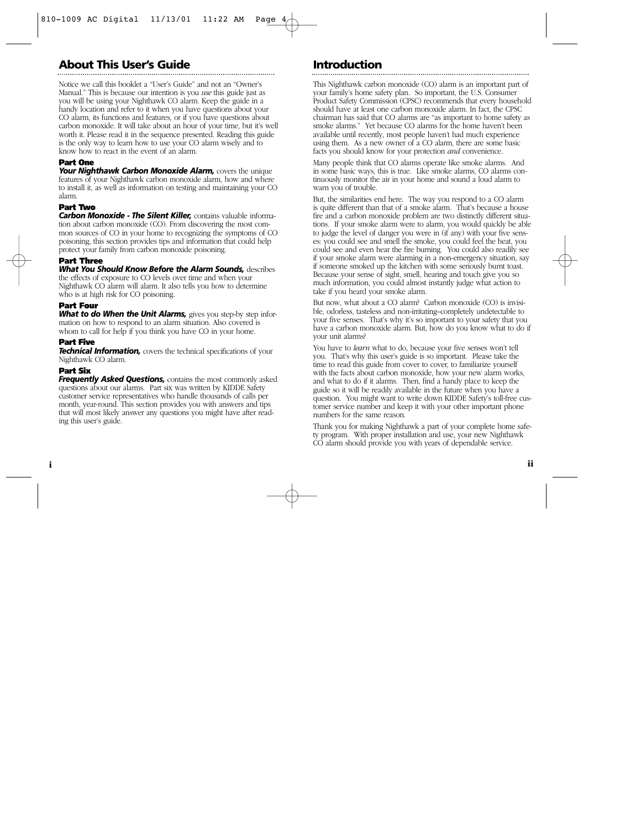## **About This User's Guide**

Notice we call this booklet a "User's Guide" and not an "Owner's Manual." This is because our intention is you *use* this guide just as you will be using your Nighthawk CO alarm. Keep the guide in a handy location and refer to it when you have questions about your CO alarm, its functions and features, or if you have questions about carbon monoxide. It will take about an hour of your time, but it's well worth it. Please read it in the sequence presented. Reading this guide is the only way to learn how to use your CO alarm wisely and to know how to react in the event of an alarm.

#### **Part One**

*Your Nighthawk Carbon Monoxide Alarm,* covers the unique features of your Nighthawk carbon monoxide alarm, how and where to install it, as well as information on testing and maintaining your CO alarm.

#### **Part Two**

*Carbon Monoxide - The Silent Killer,* contains valuable information about carbon monoxide (CO). From discovering the most common sources of CO in your home to recognizing the symptoms of CO poisoning, this section provides tips and information that could help protect your family from carbon monoxide poisoning.

#### **Part Three**

#### *What You Should Know Before the Alarm Sounds,* describes

the effects of exposure to CO levels over time and when your Nighthawk CO alarm will alarm. It also tells you how to determine who is at high risk for CO poisoning.

#### **Part Four**

*What to do When the Unit Alarms,* gives you step-by step information on how to respond to an alarm situation. Also covered is whom to call for help if you think you have CO in your home.

#### **Part Five**

**Technical Information,** covers the technical specifications of your Nighthawk CO alarm.

#### **Part Six**

*Frequently Asked Questions,* contains the most commonly asked questions about our alarms. Part six was written by KIDDE Safety customer service representatives who handle thousands of calls per month, year-round. This section provides you with answers and tips that will most likely answer any questions you might have after reading this user's guide.

## **Introduction**

This Nighthawk carbon monoxide (CO) alarm is an important part of your family's home safety plan. So important, the U.S. Consumer Product Safety Commission (CPSC) recommends that every household should have at least one carbon monoxide alarm. In fact, the CPSC chairman has said that CO alarms are "as important to home safety as smoke alarms." Yet because CO alarms for the home haven't been available until recently, most people haven't had much experience using them. As a new owner of a CO alarm, there are some basic facts you should know for your protection *and* convenience.

Many people think that CO alarms operate like smoke alarms. And in some basic ways, this is true. Like smoke alarms, CO alarms continuously monitor the air in your home and sound a loud alarm to warn you of trouble.

But, the similarities end here. The way you respond to a CO alarm is quite different than that of a smoke alarm. That's because a house fire and a carbon monoxide problem are two distinctly different situations. If your smoke alarm were to alarm, you would quickly be able to judge the level of danger you were in (if any) with your five senses: you could see and smell the smoke, you could feel the heat, you could see and even hear the fire burning. You could also readily see if your smoke alarm were alarming in a non-emergency situation, say if someone smoked up the kitchen with some seriously burnt toast. Because your sense of sight, smell, hearing and touch give you so much information, you could almost instantly judge what action to take if you heard your smoke alarm.

But now, what about a CO alarm? Carbon monoxide (CO) is invisible, odorless, tasteless and non-irritating–completely undetectable to your five senses. That's why it's so important to your safety that you have a carbon monoxide alarm. But, how do you know what to do if your unit alarms?

You have to *learn* what to do, because your five senses won't tell you. That's why this user's guide is so important. Please take the time to read this guide from cover to cover, to familiarize yourself with the facts about carbon monoxide, how your new alarm works, and what to do if it alarms. Then, find a handy place to keep the guide so it will be readily available in the future when you have a question. You might want to write down KIDDE Safety's toll-free customer service number and keep it with your other important phone numbers for the same reason.

Thank you for making Nighthawk a part of your complete home safety program. With proper installation and use, your new Nighthawk CO alarm should provide you with years of dependable service.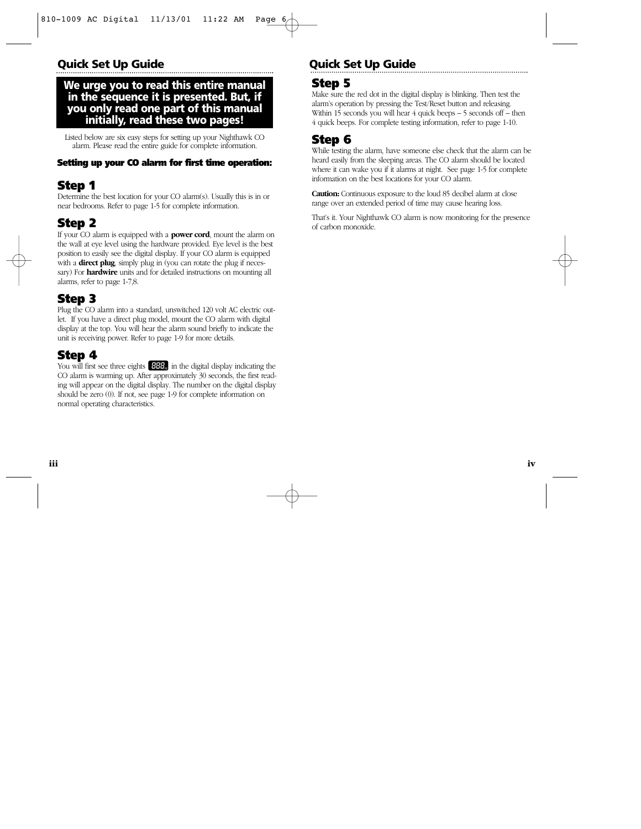## **Quick Set Up Guide Quick Set Up Guide**

### **We urge you to read this entire manual in the sequence it is presented. But, if you only read one part of this manual initially, read these two pages!**

Listed below are six easy steps for setting up your Nighthawk CO alarm. Please read the entire guide for complete information.

### **Setting up your CO alarm for first time operation:**

## **Step 1**

Determine the best location for your CO alarm(s). Usually this is in or near bedrooms. Refer to page 1-5 for complete information.

## **Step 2**

If your CO alarm is equipped with a **power cord**, mount the alarm on the wall at eye level using the hardware provided. Eye level is the best position to easily see the digital display. If your CO alarm is equipped with a **direct plug**, simply plug in (you can rotate the plug if necessary) For **hardwire** units and for detailed instructions on mounting all alarms, refer to page 1-7,8.

## **Step 3**

Plug the CO alarm into a standard, unswitched 120 volt AC electric outlet. If you have a direct plug model, mount the CO alarm with digital display at the top. You will hear the alarm sound briefly to indicate the unit is receiving power. Refer to page 1-9 for more details.

## **Step 4**

You will first see three eights **HBE**<sub>3</sub> in the digital display indicating the CO alarm is warming up. After approximately 30 seconds, the first reading will appear on the digital display. The number on the digital display should be zero (0). If not, see page 1-9 for complete information on normal operating characteristics.

## **Step 5**

Make sure the red dot in the digital display is blinking. Then test the alarm's operation by pressing the Test/Reset button and releasing. Within 15 seconds you will hear 4 quick beeps – 5 seconds off – then 4 quick beeps. For complete testing information, refer to page 1-10.

## **Step 6**

While testing the alarm, have someone else check that the alarm can be heard easily from the sleeping areas. The CO alarm should be located where it can wake you if it alarms at night. See page 1-5 for complete information on the best locations for your CO alarm.

**Caution:** Continuous exposure to the loud 85 decibel alarm at close range over an extended period of time may cause hearing loss.

That's it. Your Nighthawk CO alarm is now monitoring for the presence of carbon monoxide.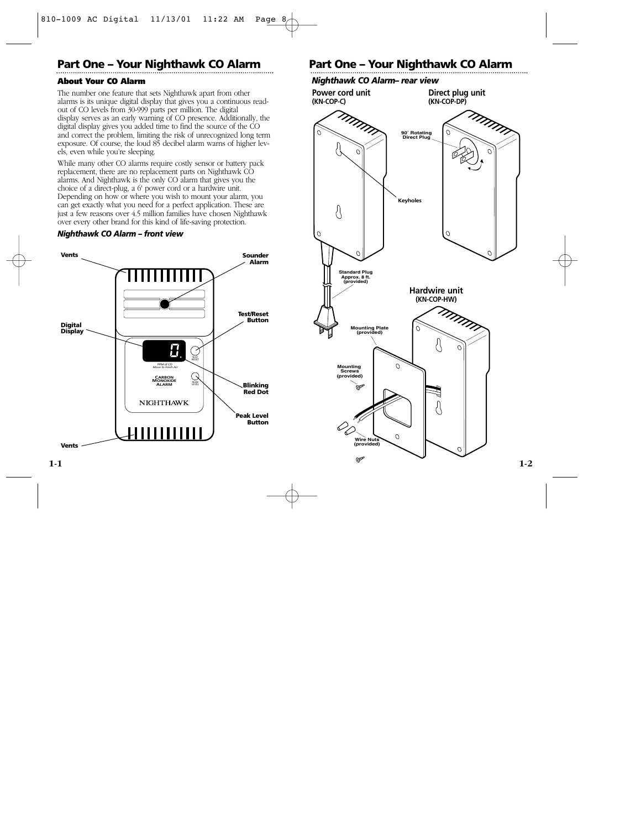## **Part One – Your Nighthawk CO Alarm Part One – Your Nighthawk CO Alarm**

#### **About Your CO Alarm**

The number one feature that sets Nighthawk apart from other alarms is its unique digital display that gives you a continuous readout of CO levels from 30-999 parts per million. The digital display serves as an early warning of CO presence. Additionally, the digital display gives you added time to find the source of the CO and correct the problem, limiting the risk of unrecognized long term exposure. Of course, the loud 85 decibel alarm warns of higher levels, even while you're sleeping.

While many other CO alarms require costly sensor or battery pack replacement, there are no replacement parts on Nighthawk CO alarms. And Nighthawk is the only CO alarm that gives you the choice of a direct-plug, a 6' power cord or a hardwire unit. Depending on how or where you wish to mount your alarm, you can get exactly what you need for a perfect application. These are just a few reasons over 4.5 million families have chosen Nighthawk over every other brand for this kind of life-saving protection.

#### *Nighthawk CO Alarm – front view*



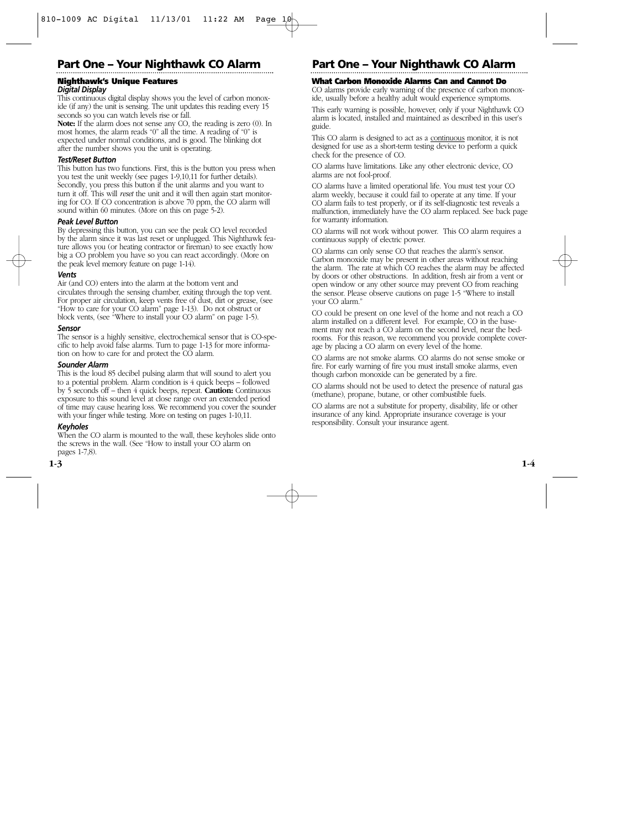#### **Nighthawk's Unique Features** *Digital Display*

This continuous digital display shows you the level of carbon monoxide (if any) the unit is sensing. The unit updates this reading every 15 seconds so you can watch levels rise or fall.

**Note:** If the alarm does not sense any CO, the reading is zero (0). In most homes, the alarm reads "0" all the time. A reading of "0" is expected under normal conditions, and is good. The blinking dot after the number shows you the unit is operating.

#### *Test/Reset Button*

This button has two functions. First, this is the button you press when you test the unit weekly (see pages 1-9,10,11 for further details). Secondly, you press this button if the unit alarms and you want to turn it off. This will *reset* the unit and it will then again start monitoring for CO. If CO concentration is above 70 ppm, the CO alarm will sound within 60 minutes. (More on this on page 5-2).

#### *Peak Level Button*

By depressing this button, you can see the peak CO level recorded by the alarm since it was last reset or unplugged. This Nighthawk feature allows you (or heating contractor or fireman) to see exactly how big a CO problem you have so you can react accordingly. (More on the peak level memory feature on page 1-14).

#### *Vents*

Air (and CO) enters into the alarm at the bottom vent and circulates through the sensing chamber, exiting through the top vent. For proper air circulation, keep vents free of dust, dirt or grease, (see "How to care for your CO alarm" page 1-13). Do not obstruct or block vents, (see "Where to install your CO alarm" on page 1-5).

#### *Sensor*

The sensor is a highly sensitive, electrochemical sensor that is CO-specific to help avoid false alarms. Turn to page 1-13 for more information on how to care for and protect the CO alarm.

#### *Sounder Alarm*

This is the loud 85 decibel pulsing alarm that will sound to alert you to a potential problem. Alarm condition is 4 quick beeps – followed by 5 seconds off – then 4 quick beeps, repeat. **Caution:** Continuous exposure to this sound level at close range over an extended period of time may cause hearing loss. We recommend you cover the sounder with your finger while testing. More on testing on pages 1-10,11.

#### *Keyholes*

When the CO alarm is mounted to the wall, these keyholes slide onto the screws in the wall. (See "How to install your CO alarm on pages 1-7,8).

## **Part One – Your Nighthawk CO Alarm Part One – Your Nighthawk CO Alarm**

#### **What Carbon Monoxide Alarms Can and Cannot Do**

CO alarms provide early warning of the presence of carbon monoxide, usually before a healthy adult would experience symptoms.

This early warning is possible, however, only if your Nighthawk CO alarm is located, installed and maintained as described in this user's guide.

This CO alarm is designed to act as a continuous monitor, it is not designed for use as a short-term testing device to perform a quick check for the presence of CO.

CO alarms have limitations. Like any other electronic device, CO alarms are not fool-proof.

CO alarms have a limited operational life. You must test your CO alarm weekly, because it could fail to operate at any time. If your CO alarm fails to test properly, or if its self-diagnostic test reveals a malfunction, immediately have the CO alarm replaced. See back page for warranty information.

CO alarms will not work without power. This CO alarm requires a continuous supply of electric power.

CO alarms can only sense CO that reaches the alarm's sensor. Carbon monoxide may be present in other areas without reaching the alarm. The rate at which CO reaches the alarm may be affected by doors or other obstructions. In addition, fresh air from a vent or open window or any other source may prevent CO from reaching the sensor. Please observe cautions on page 1-5 "Where to install your CO alarm."

CO could be present on one level of the home and not reach a CO alarm installed on a different level. For example, CO in the basement may not reach a CO alarm on the second level, near the bedrooms. For this reason, we recommend you provide complete coverage by placing a CO alarm on every level of the home.

CO alarms are not smoke alarms. CO alarms do not sense smoke or fire. For early warning of fire you must install smoke alarms, even though carbon monoxide can be generated by a fire.

CO alarms should not be used to detect the presence of natural gas (methane), propane, butane, or other combustible fuels.

CO alarms are not a substitute for property, disability, life or other insurance of any kind. Appropriate insurance coverage is your responsibility. Consult your insurance agent.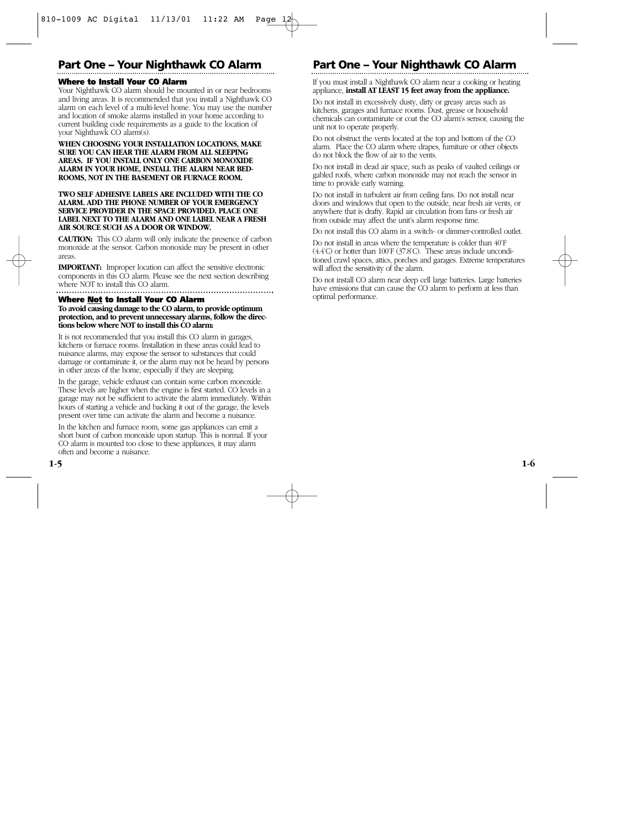## **Part One – Your Nighthawk CO Alarm Part One – Your Nighthawk CO Alarm**

#### **Where to Install Your CO Alarm**

Your Nighthawk CO alarm should be mounted in or near bedrooms and living areas. It is recommended that you install a Nighthawk CO alarm on each level of a multi-level home. You may use the number and location of smoke alarms installed in your home according to current building code requirements as a guide to the location of your Nighthawk CO alarm(s).

#### **WHEN CHOOSING YOUR INSTALLATION LOCATIONS, MAKE SURE YOU CAN HEAR THE ALARM FROM ALL SLEEPING AREAS. IF YOU INSTALL ONLY ONE CARBON MONOXIDE ALARM IN YOUR HOME, INSTALL THE ALARM NEAR BED-ROOMS, NOT IN THE BASEMENT OR FURNACE ROOM.**

#### **TWO SELF ADHESIVE LABELS ARE INCLUDED WITH THE CO ALARM. ADD THE PHONE NUMBER OF YOUR EMERGENCY SERVICE PROVIDER IN THE SPACE PROVIDED. PLACE ONE LABEL NEXT TO THE ALARM AND ONE LABEL NEAR A FRESH AIR SOURCE SUCH AS A DOOR OR WINDOW.**

**CAUTION:** This CO alarm will only indicate the presence of carbon monoxide at the sensor. Carbon monoxide may be present in other areas.

**IMPORTANT:** Improper location can affect the sensitive electronic components in this CO alarm. Please see the next section describing where NOT to install this CO alarm.

#### **Where Not to Install Your CO Alarm**

**To avoid causing damage to the CO alarm, to provide optimum protection, and to prevent unnecessary alarms, follow the directions below where NOT to install this CO alarm:**

It is not recommended that you install this CO alarm in garages, kitchens or furnace rooms. Installation in these areas could lead to nuisance alarms, may expose the sensor to substances that could damage or contaminate it, or the alarm may not be heard by persons in other areas of the home, especially if they are sleeping.

In the garage, vehicle exhaust can contain some carbon monoxide. These levels are higher when the engine is first started. CO levels in a garage may not be sufficient to activate the alarm immediately. Within hours of starting a vehicle and backing it out of the garage, the levels present over time can activate the alarm and become a nuisance.

In the kitchen and furnace room, some gas appliances can emit a short burst of carbon monoxide upon startup. This is normal. If your CO alarm is mounted too close to these appliances, it may alarm often and become a nuisance.

If you must install a Nighthawk CO alarm near a cooking or heating appliance, **install AT LEAST 15 feet away from the appliance.**

Do not install in excessively dusty, dirty or greasy areas such as kitchens, garages and furnace rooms. Dust, grease or household chemicals can contaminate or coat the CO alarm's sensor, causing the unit not to operate properly.

Do not obstruct the vents located at the top and bottom of the CO alarm. Place the CO alarm where drapes, furniture or other objects do not block the flow of air to the vents.

Do not install in dead air space, such as peaks of vaulted ceilings or gabled roofs, where carbon monoxide may not reach the sensor in time to provide early warning.

Do not install in turbulent air from ceiling fans. Do not install near doors and windows that open to the outside, near fresh air vents, or anywhere that is drafty. Rapid air circulation from fans or fresh air from outside may affect the unit's alarm response time.

Do not install this CO alarm in a switch- or dimmer-controlled outlet.

Do not install in areas where the temperature is colder than 40˚F  $(4.4^{\circ}$ C) or hotter than 100°F (37.8°C). These areas include unconditioned crawl spaces, attics, porches and garages. Extreme temperatures will affect the sensitivity of the alarm.

Do not install CO alarm near deep cell large batteries. Large batteries have emissions that can cause the CO alarm to perform at less than optimal performance.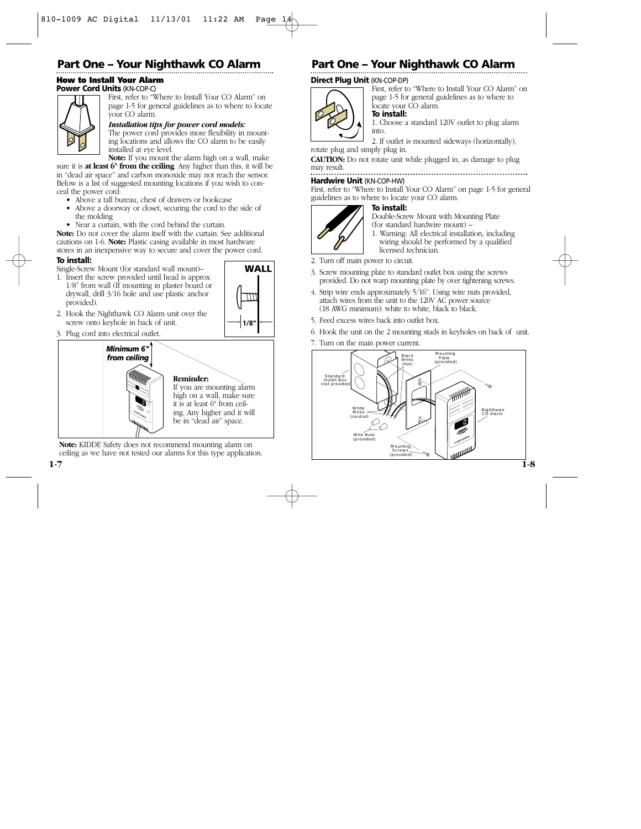#### **How to Install Your Alarm Power Cord Units** (KN-COP-C)



First, refer to "Where to Install Your CO Alarm" on page 1-5 for general guidelines as to where to locate your CO alarm.

#### *Installation tips for power cord models:*

The power cord provides more flexibility in mounting locations and allows the CO alarm to be easily installed at eye level.

**Note:** If you mount the alarm high on a wall, make sure it is **at least 6" from the ceiling**. Any higher than this, it will be

in "dead air space" and carbon monoxide may not reach the sensor. Below is a list of suggested mounting locations if you wish to conceal the power cord:

- Above a tall bureau, chest of drawers or bookcase
- Above a doorway or closet, securing the cord to the side of the molding
- Near a curtain, with the cord behind the curtain.

**Note:** Do not cover the alarm itself with the curtain. See additional cautions on 1-6. **Note:** Plastic casing available in most hardware stores in an inexpensive way to secure and cover the power cord.

#### **To install:**

Single-Screw Mount (for standard wall mount)–

1. Insert the screw provided until head is approx 1/8" from wall (If mounting in plaster board or drywall, drill 3/16 hole and use plastic anchor provided).



- 2. Hook the Nighthawk CO Alarm unit over the screw onto keyhole in back of unit.
- 3. Plug cord into electrical outlet.



**Note:** KIDDE Safety does not recommend mounting alarm on ceiling as we have not tested our alarms for this type application.

## **Part One – Your Nighthawk CO Alarm Part One – Your Nighthawk CO Alarm**

#### **Direct Plug Unit** (KN-COP-DP)



#### First, refer to "Where to Install Your CO Alarm" on page 1-5 for general guidelines as to where to locate your CO alarm.

**To install:**

1. Choose a standard 120V outlet to plug alarm into.

2. If outlet is mounted sideways (horizontally), rotate plug and simply plug in.

**CAUTION:** Do not rotate unit while plugged in, as damage to plug may result.

#### **Hardwire Unit** (KN-COP-HW)

First, refer to "Where to Install Your CO Alarm" on page 1-5 for general guidelines as to where to locate your CO alarm.



#### **To install:**

Double-Screw Mount with Mounting Plate (for standard hardwire mount) –

1. Warning: All electrical installation, including wiring should be performed by a qualified licensed technician.

- 2. Turn off main power to circuit.
- 3. Screw mounting plate to standard outlet box using the screws provided. Do not warp mounting plate by over tightening screws.
- 4. Strip wire ends approximately 5/16". Using wire nuts provided, attach wires from the unit to the 120V AC power source (18 AWG minimum): white to white, black to black.
- 5. Feed excess wires back into outlet box.
- 6. Hook the unit on the 2 mounting studs in keyholes on back of unit.
- 7. Turn on the main power current.

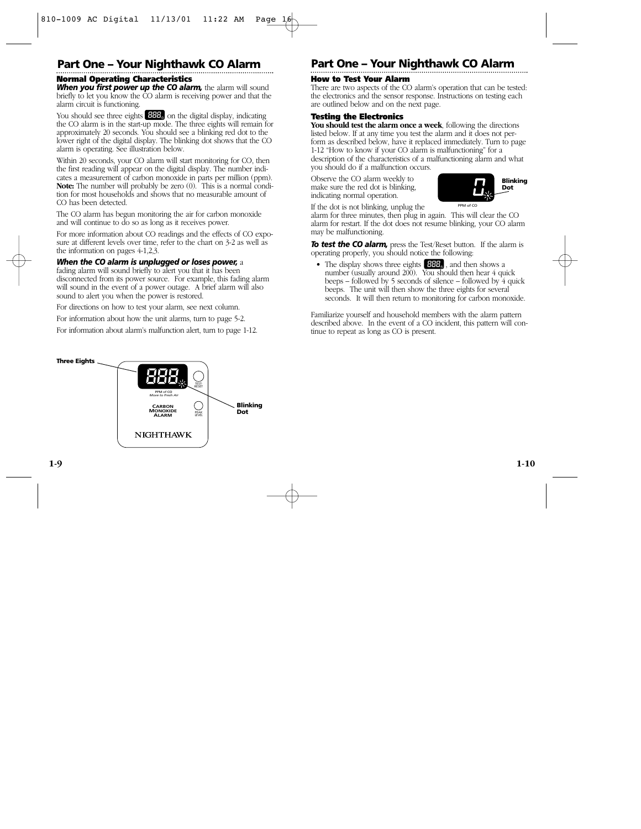## **Part One – Your Nighthawk CO Alarm Part One – Your Nighthawk CO Alarm**

### **Normal Operating Characteristics**

*When you first power up the CO alarm, the alarm will sound* briefly to let you know the CO alarm is receiving power and that the alarm circuit is functioning.

You should see three eights **of the digital display**, indicating the CO alarm is in the start-up mode. The three eights will remain for approximately 20 seconds. You should see a blinking red dot to the lower right of the digital display. The blinking dot shows that the CO alarm is operating. See illustration below.

Within 20 seconds, your CO alarm will start monitoring for CO, then the first reading will appear on the digital display. The number indicates a measurement of carbon monoxide in parts per million (ppm). **Note:** The number will probably be zero (0). This is a normal condition for most households and shows that no measurable amount of CO has been detected.

The CO alarm has begun monitoring the air for carbon monoxide and will continue to do so as long as it receives power.

For more information about CO readings and the effects of CO exposure at different levels over time, refer to the chart on 3-2 as well as the information on pages 4-1,2,3.

#### *When the CO alarm is unplugged or loses power,* a

fading alarm will sound briefly to alert you that it has been disconnected from its power source. For example, this fading alarm will sound in the event of a power outage. A brief alarm will also sound to alert you when the power is restored.

For directions on how to test your alarm, see next column.

For information about how the unit alarms, turn to page 5-2.

For information about alarm's malfunction alert, turn to page 1-12.

#### **How to Test Your Alarm**

There are two aspects of the CO alarm's operation that can be tested: the electronics and the sensor response. Instructions on testing each are outlined below and on the next page.

#### **Testing the Electronics**

**You should test the alarm once a week**, following the directions listed below. If at any time you test the alarm and it does not perform as described below, have it replaced immediately. Turn to page 1-12 "How to know if your CO alarm is malfunctioning" for a description of the characteristics of a malfunctioning alarm and what you should do if a malfunction occurs.

Observe the CO alarm weekly to make sure the red dot is blinking, indicating normal operation.



If the dot is not blinking, unplug the

alarm for three minutes, then plug in again. This will clear the CO alarm for restart. If the dot does not resume blinking, your CO alarm may be malfunctioning.

*To test the CO alarm,* press the Test/Reset button. If the alarm is operating properly, you should notice the following:

• The display shows three eights  $\Box$  and then shows a number (usually around 200). You should then hear 4 quick beeps – followed by 5 seconds of silence – followed by 4 quick beeps. The unit will then show the three eights for several seconds. It will then return to monitoring for carbon monoxide.

Familiarize yourself and household members with the alarm pattern described above. In the event of a CO incident, this pattern will continue to repeat as long as CO is present.

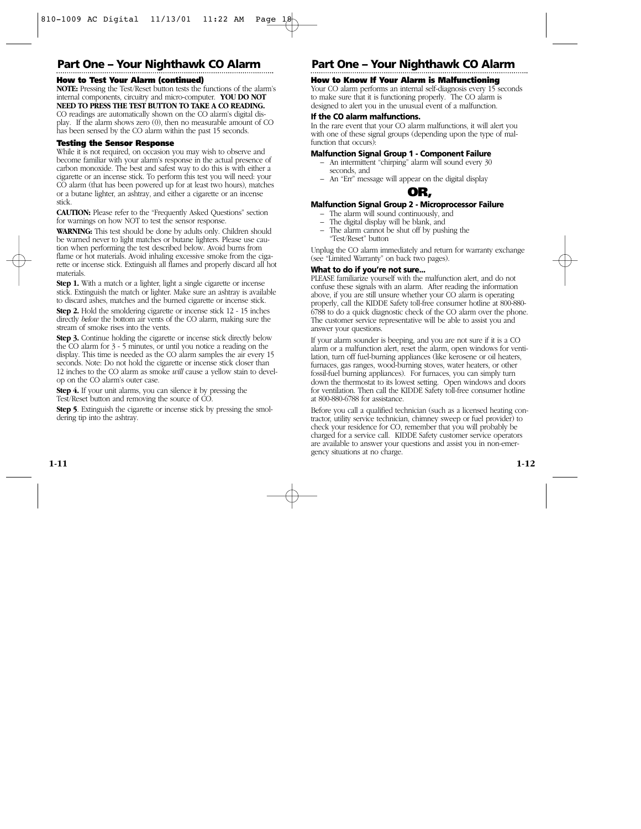#### **How to Test Your Alarm (continued)**

**NOTE:** Pressing the Test/Reset button tests the functions of the alarm's internal components, circuitry and micro-computer. **YOU DO NOT NEED TO PRESS THE TEST BUTTON TO TAKE A CO READING.**

CO readings are automatically shown on the CO alarm's digital display. If the alarm shows zero (0), then no measurable amount of CO has been sensed by the CO alarm within the past 15 seconds.

#### **Testing the Sensor Response**

While it is not required, on occasion you may wish to observe and become familiar with your alarm's response in the actual presence of carbon monoxide. The best and safest way to do this is with either a cigarette or an incense stick. To perform this test you will need: your CO alarm (that has been powered up for at least two hours), matches or a butane lighter, an ashtray, and either a cigarette or an incense stick.

**CAUTION:** Please refer to the "Frequently Asked Questions" section for warnings on how NOT to test the sensor response.

**WARNING:** This test should be done by adults only. Children should be warned never to light matches or butane lighters. Please use caution when performing the test described below. Avoid burns from flame or hot materials. Avoid inhaling excessive smoke from the cigarette or incense stick. Extinguish all flames and properly discard all hot materials.

**Step 1.** With a match or a lighter, light a single cigarette or incense stick. Extinguish the match or lighter. Make sure an ashtray is available to discard ashes, matches and the burned cigarette or incense stick.

**Step 2.** Hold the smoldering cigarette or incense stick 12 - 15 inches directly *below* the bottom air vents of the CO alarm, making sure the stream of smoke rises into the vents.

**Step 3.** Continue holding the cigarette or incense stick directly below the CO alarm for 3 - 5 minutes, or until you notice a reading on the display. This time is needed as the CO alarm samples the air every 15 seconds. Note: Do not hold the cigarette or incense stick closer than 12 inches to the CO alarm as smoke *will* cause a yellow stain to develop on the CO alarm's outer case.

**Step 4.** If your unit alarms, you can silence it by pressing the Test/Reset button and removing the source of CO.

**Step 5**. Extinguish the cigarette or incense stick by pressing the smoldering tip into the ashtray.

## **Part One – Your Nighthawk CO Alarm Part One – Your Nighthawk CO Alarm**

#### **How to Know If Your Alarm is Malfunctioning**

Your CO alarm performs an internal self-diagnosis every 15 seconds to make sure that it is functioning properly. The CO alarm is designed to alert you in the unusual event of a malfunction.

#### **If the CO alarm malfunctions.**

In the rare event that your CO alarm malfunctions, it will alert you with one of these signal groups (depending upon the type of malfunction that occurs).

#### **Malfunction Signal Group 1 - Component Failure**

- An intermittent "chirping" alarm will sound every 30 seconds, and
- An "Err" message will appear on the digital display



#### **Malfunction Signal Group 2 - Microprocessor Failure**

- The alarm will sound continuously, and
- The digital display will be blank, and
- The alarm cannot be shut off by pushing the "Test/Reset" button

Unplug the CO alarm immediately and return for warranty exchange (see "Limited Warranty" on back two pages).

#### **What to do if you're not sure...**

PLEASE familiarize yourself with the malfunction alert, and do not confuse these signals with an alarm. After reading the information above, if you are still unsure whether your CO alarm is operating properly, call the KIDDE Safety toll-free consumer hotline at 800-880- 6788 to do a quick diagnostic check of the CO alarm over the phone. The customer service representative will be able to assist you and answer your questions.

If your alarm sounder is beeping, and you are not sure if it is a CO alarm or a malfunction alert, reset the alarm, open windows for ventilation, turn off fuel-burning appliances (like kerosene or oil heaters, furnaces, gas ranges, wood-burning stoves, water heaters, or other fossil-fuel burning appliances). For furnaces, you can simply turn down the thermostat to its lowest setting. Open windows and doors for ventilation. Then call the KIDDE Safety toll-free consumer hotline at 800-880-6788 for assistance.

Before you call a qualified technician (such as a licensed heating contractor, utility service technician, chimney sweep or fuel provider) to check your residence for CO, remember that you will probably be charged for a service call. KIDDE Safety customer service operators are available to answer your questions and assist you in non-emergency situations at no charge.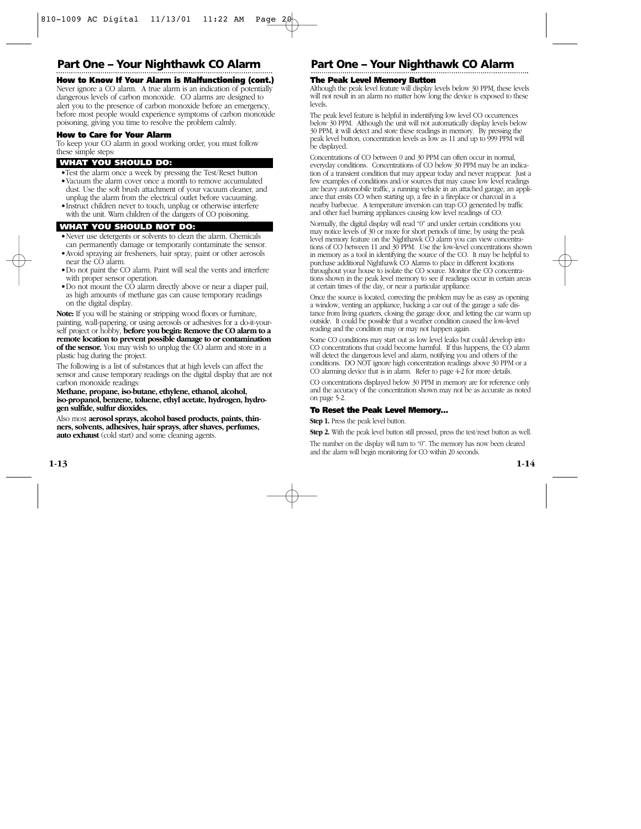#### **How to Know If Your Alarm is Malfunctioning (cont.)**

Never ignore a CO alarm. A true alarm is an indication of potentially dangerous levels of carbon monoxide. CO alarms are designed to alert you to the presence of carbon monoxide before an emergency, before most people would experience symptoms of carbon monoxide poisoning, giving you time to resolve the problem calmly.

#### **How to Care for Your Alarm**

To keep your CO alarm in good working order, you must follow these simple steps:

#### **WHAT YOU SHOULD DO:**

- •Test the alarm once a week by pressing the Test/Reset button
- •Vacuum the alarm cover once a month to remove accumulated dust. Use the soft brush attachment of your vacuum cleaner, and unplug the alarm from the electrical outlet before vacuuming.
- •Instruct children never to touch, unplug or otherwise interfere with the unit. Warn children of the dangers of CO poisoning.

#### **WHAT YOU SHOULD NOT DO:**

- •Never use detergents or solvents to clean the alarm. Chemicals can permanently damage or temporarily contaminate the sensor.
- •Avoid spraying air fresheners, hair spray, paint or other aerosols near the CO alarm.
- •Do not paint the CO alarm. Paint will seal the vents and interfere with proper sensor operation.
- •Do not mount the CO alarm directly above or near a diaper pail, as high amounts of methane gas can cause temporary readings on the digital display.

**Note:** If you will be staining or stripping wood floors or furniture, painting, wall-papering, or using aerosols or adhesives for a do-it-yourself project or hobby, **before you begin: Remove the CO alarm to a remote location to prevent possible damage to or contamination of the sensor.** You may wish to unplug the CO alarm and store in a plastic bag during the project.

The following is a list of substances that at high levels can affect the sensor and cause temporary readings on the digital display that are not carbon monoxide readings:

#### **Methane, propane, iso-butane, ethylene, ethanol, alcohol, iso-propanol, benzene, toluene, ethyl acetate, hydrogen, hydrogen sulfide, sulfur dioxides.**

Also most **aerosol sprays, alcohol based products, paints, thinners, solvents, adhesives, hair sprays, after shaves, perfumes, auto exhaust** (cold start) and some cleaning agents.

## **Part One – Your Nighthawk CO Alarm Part One – Your Nighthawk CO Alarm**

#### **The Peak Level Memory Button**

Although the peak level feature will display levels below 30 PPM, these levels will not result in an alarm no matter how long the device is exposed to these levels.

The peak level feature is helpful in indentifying low level CO occurrences below 30 PPM. Although the unit will not automatically display levels below 30 PPM, it will detect and store these readings in memory. By pressing the peak level button, concentration levels as low as 11 and up to 999 PPM will be displayed.

Concentrations of CO between 0 and 30 PPM can often occur in normal, everyday conditions. Concentrations of CO below 30 PPM may be an indication of a transient condition that may appear today and never reappear. Just a few examples of conditions and/or sources that may cause low level readings are heavy automobile traffic, a running vehicle in an attached garage, an appliance that emits CO when starting up, a fire in a fireplace or charcoal in a nearby barbecue. A temperature inversion can trap CO generated by traffic and other fuel burning appliances causing low level readings of CO.

Normally, the digital display will read "0" and under certain conditions you may notice levels of 30 or more for short periods of time, by using the peak level memory feature on the Nighthawk CO alarm you can view concentrations of CO between 11 and 30 PPM. Use the low-level concentrations shown in memory as a tool in identifying the source of the CO. It may be helpful to purchase additional Nighthawk CO Alarms to place in different locations throughout your house to isolate the CO source. Monitor the CO concentrations shown in the peak level memory to see if readings occur in certain areas at certain times of the day, or near a particular appliance.

Once the source is located, correcting the problem may be as easy as opening a window, venting an appliance, backing a car out of the garage a safe distance from living quarters, closing the garage door, and letting the car warm up outside. It could be possible that a weather condition caused the low-level reading and the condition may or may not happen again.

Some CO conditions may start out as low level leaks but could develop into CO concentrations that could become harmful. If this happens, the CO alarm will detect the dangerous level and alarm, notifying you and others of the conditions. DO NOT ignore high concentration readings above 30 PPM or a CO alarming device that is in alarm. Refer to page 4-2 for more details.

CO concentrations displayed below 30 PPM in memory are for reference only and the accuracy of the concentration shown may not be as accurate as noted on page 5-2.

#### **To Reset the Peak Level Memory…**

**Step 1.** Press the peak level button.

**Step 2.** With the peak level button still pressed, press the test/reset button as well.

The number on the display will turn to "0". The memory has now been cleared and the alarm will begin monitoring for CO within 20 seconds.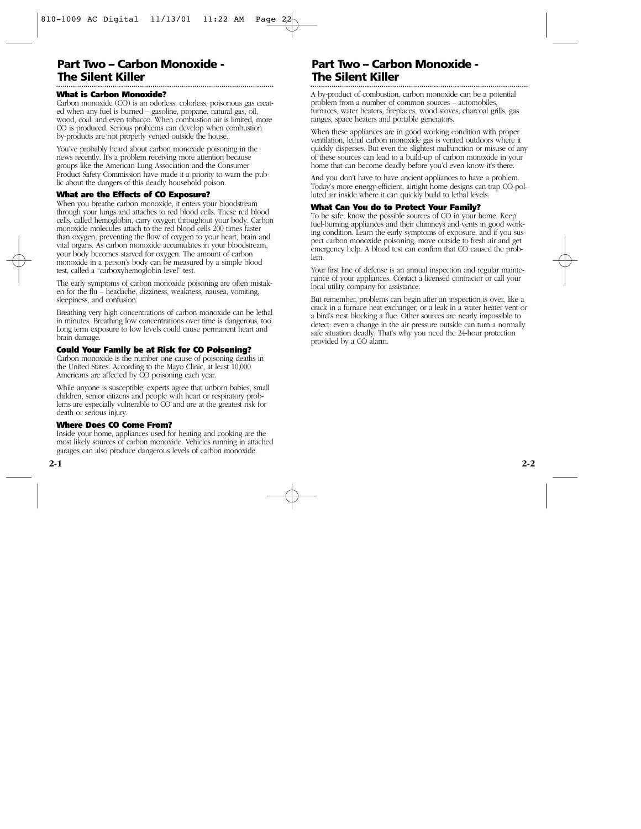### **Part Two – Carbon Monoxide - The Silent Killer**

#### **What is Carbon Monoxide?**

Carbon monoxide (CO) is an odorless, colorless, poisonous gas created when any fuel is burned – gasoline, propane, natural gas, oil, wood, coal, and even tobacco. When combustion air is limited, more CO is produced. Serious problems can develop when combustion by-products are not properly vented outside the house.

You've probably heard about carbon monoxide poisoning in the news recently. It's a problem receiving more attention because groups like the American Lung Association and the Consumer Product Safety Commission have made it a priority to warn the public about the dangers of this deadly household poison.

#### **What are the Effects of CO Exposure?**

When you breathe carbon monoxide, it enters your bloodstream through your lungs and attaches to red blood cells. These red blood cells, called hemoglobin, carry oxygen throughout your body. Carbon monoxide molecules attach to the red blood cells 200 times faster than oxygen, preventing the flow of oxygen to your heart, brain and vital organs. As carbon monoxide accumulates in your bloodstream, your body becomes starved for oxygen. The amount of carbon monoxide in a person's body can be measured by a simple blood test, called a "carboxyhemoglobin level" test.

The early symptoms of carbon monoxide poisoning are often mistaken for the flu – headache, dizziness, weakness, nausea, vomiting, sleepiness, and confusion.

Breathing very high concentrations of carbon monoxide can be lethal in minutes. Breathing low concentrations over time is dangerous, too. Long term exposure to low levels could cause permanent heart and brain damage.

#### **Could Your Family be at Risk for CO Poisoning?**

Carbon monoxide is the number one cause of poisoning deaths in the United States. According to the Mayo Clinic, at least 10,000 Americans are affected by CO poisoning each year.

While anyone is susceptible, experts agree that unborn babies, small children, senior citizens and people with heart or respiratory problems are especially vulnerable to CO and are at the greatest risk for death or serious injury.

### **Where Does CO Come From?**

Inside your home, appliances used for heating and cooking are the most likely sources of carbon monoxide. Vehicles running in attached garages can also produce dangerous levels of carbon monoxide.

## **Part Two – Carbon Monoxide - The Silent Killer**

A by-product of combustion, carbon monoxide can be a potential problem from a number of common sources – automobiles, furnaces, water heaters, fireplaces, wood stoves, charcoal grills, gas ranges, space heaters and portable generators.

When these appliances are in good working condition with proper ventilation, lethal carbon monoxide gas is vented outdoors where it quickly disperses. But even the slightest malfunction or misuse of any of these sources can lead to a build-up of carbon monoxide in your home that can become deadly before you'd even know it's there.

And you don't have to have ancient appliances to have a problem. Today's more energy-efficient, airtight home designs can trap CO-polluted air inside where it can quickly build to lethal levels.

#### **What Can You do to Protect Your Family?**

To be safe, know the possible sources of CO in your home. Keep fuel-burning appliances and their chimneys and vents in good working condition. Learn the early symptoms of exposure, and if you suspect carbon monoxide poisoning, move outside to fresh air and get emergency help. A blood test can confirm that CO caused the problem.

Your first line of defense is an annual inspection and regular maintenance of your appliances. Contact a licensed contractor or call your local utility company for assistance.

But remember, problems can begin after an inspection is over, like a crack in a furnace heat exchanger, or a leak in a water heater vent or a bird's nest blocking a flue. Other sources are nearly impossible to detect: even a change in the air pressure outside can turn a normally safe situation deadly. That's why you need the 24-hour protection provided by a CO alarm.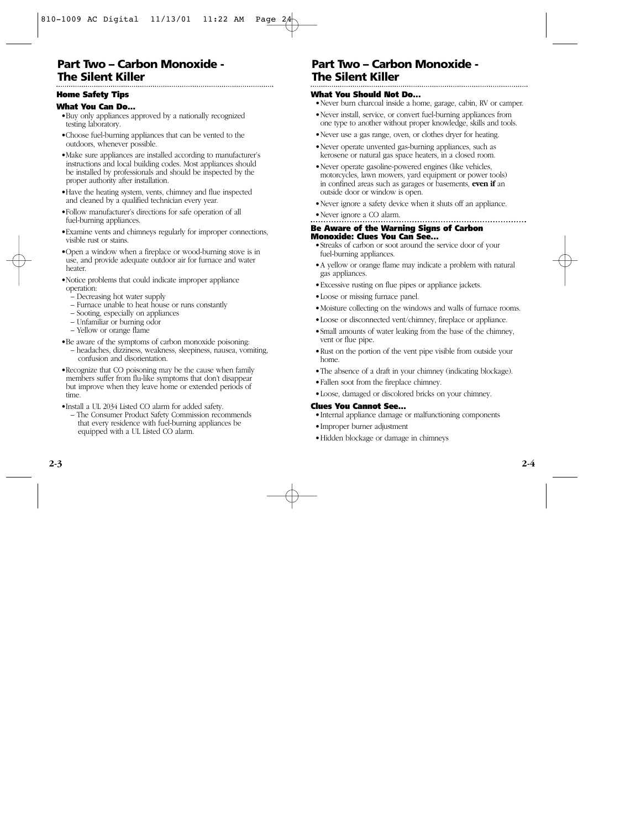## **Part Two – Carbon Monoxide - The Silent Killer**

#### **Home Safety Tips**

#### **What You Can Do...**

- •Buy only appliances approved by a nationally recognized testing laboratory.
- •Choose fuel-burning appliances that can be vented to the outdoors, whenever possible.
- •Make sure appliances are installed according to manufacturer's instructions and local building codes. Most appliances should be installed by professionals and should be inspected by the proper authority after installation.
- •Have the heating system, vents, chimney and flue inspected and cleaned by a qualified technician every year.
- •Follow manufacturer's directions for safe operation of all fuel-burning appliances.
- •Examine vents and chimneys regularly for improper connections, visible rust or stains.
- •Open a window when a fireplace or wood-burning stove is in use, and provide adequate outdoor air for furnace and water heater.
- •Notice problems that could indicate improper appliance operation:
	- Decreasing hot water supply
	- Furnace unable to heat house or runs constantly
	- Sooting, especially on appliances
	- Unfamiliar or burning odor
	- Yellow or orange flame
- •Be aware of the symptoms of carbon monoxide poisoning:
	- headaches, dizziness, weakness, sleepiness, nausea, vomiting, confusion and disorientation.
- •Recognize that CO poisoning may be the cause when family members suffer from flu-like symptoms that don't disappear but improve when they leave home or extended periods of time.
- •Install a UL 2034 Listed CO alarm for added safety.
	- The Consumer Product Safety Commission recommends that every residence with fuel-burning appliances be equipped with a UL Listed CO alarm.

## **Part Two – Carbon Monoxide - The Silent Killer**

### **What You Should Not Do...**

- •Never burn charcoal inside a home, garage, cabin, RV or camper.
- •Never install, service, or convert fuel-burning appliances from one type to another without proper knowledge, skills and tools.
- •Never use a gas range, oven, or clothes dryer for heating.
- •Never operate unvented gas-burning appliances, such as kerosene or natural gas space heaters, in a closed room.
- •Never operate gasoline-powered engines (like vehicles, motorcycles, lawn mowers, yard equipment or power tools) in confined areas such as garages or basements, **even if** an outside door or window is open.
- •Never ignore a safety device when it shuts off an appliance.

## •Never ignore a CO alarm.

#### **Be Aware of the Warning Signs of Carbon Monoxide: Clues You Can See...**

- •Streaks of carbon or soot around the service door of your fuel-burning appliances.
- •A yellow or orange flame may indicate a problem with natural gas appliances.
- •Excessive rusting on flue pipes or appliance jackets.
- •Loose or missing furnace panel.
- •Moisture collecting on the windows and walls of furnace rooms.
- •Loose or disconnected vent/chimney, fireplace or appliance.
- •Small amounts of water leaking from the base of the chimney, vent or flue pipe.
- •Rust on the portion of the vent pipe visible from outside your home.
- •The absence of a draft in your chimney (indicating blockage).
- •Fallen soot from the fireplace chimney.
- •Loose, damaged or discolored bricks on your chimney.

### **Clues You Cannot See...**

- •Internal appliance damage or malfunctioning components
- •Improper burner adjustment
- •Hidden blockage or damage in chimneys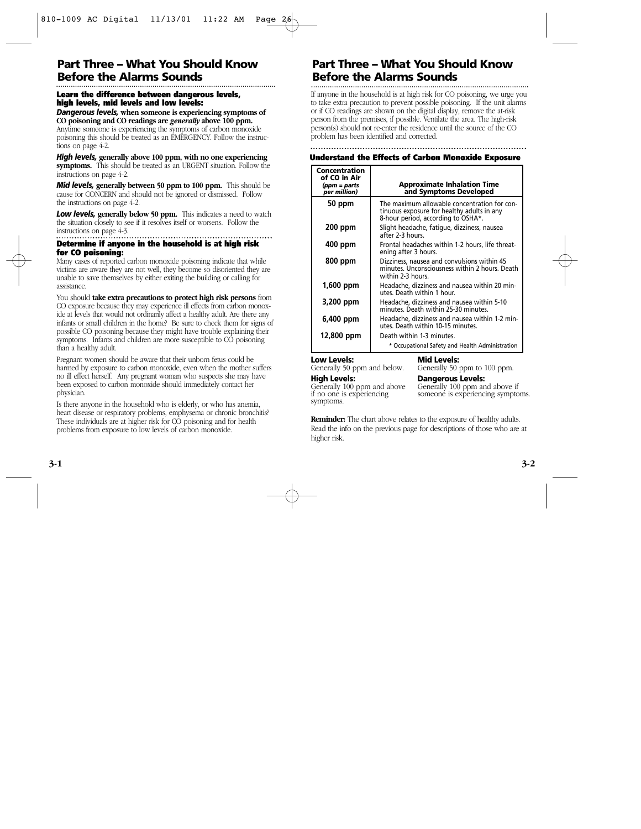### **Part Three – What You Should Know Before the Alarms Sounds**

#### **Learn the difference between dangerous levels, high levels, mid levels and low levels:**

*Dangerous levels,* **when someone is experiencing symptoms of CO poisoning and CO readings are** *generally* **above 100 ppm.**

Anytime someone is experiencing the symptoms of carbon monoxide poisoning this should be treated as an EMERGENCY. Follow the instructions on page 4-2.

*High levels,* **generally above 100 ppm, with no one experiencing symptoms.** This should be treated as an URGENT situation. Follow the instructions on page 4-2.

*Mid levels, generally between* **50 ppm to 100 ppm.** This should be cause for CONCERN and should not be ignored or dismissed. Follow the instructions on page 4-2.

**Low levels, generally below 50 ppm.** This indicates a need to watch the situation closely to see if it resolves itself or worsens. Follow the instructions on page 4-3.

#### **Determine if anyone in the household is at high risk for CO poisoning:**

Many cases of reported carbon monoxide poisoning indicate that while victims are aware they are not well, they become so disoriented they are unable to save themselves by either exiting the building or calling for assistance.

You should **take extra precautions to protect high risk persons** from CO exposure because they may experience ill effects from carbon monoxide at levels that would not ordinarily affect a healthy adult. Are there any infants or small children in the home? Be sure to check them for signs of possible CO poisoning because they might have trouble explaining their symptoms. Infants and children are more susceptible to CO poisoning than a healthy adult.

Pregnant women should be aware that their unborn fetus could be harmed by exposure to carbon monoxide, even when the mother suffers no ill effect herself. Any pregnant woman who suspects she may have been exposed to carbon monoxide should immediately contact her physician.

Is there anyone in the household who is elderly, or who has anemia, heart disease or respiratory problems, emphysema or chronic bronchitis? These individuals are at higher risk for CO poisoning and for health problems from exposure to low levels of carbon monoxide.

## **Part Three – What You Should Know Before the Alarms Sounds**

If anyone in the household is at high risk for CO poisoning, we urge you to take extra precaution to prevent possible poisoning. If the unit alarms or if CO readings are shown on the digital display, remove the at-risk person from the premises, if possible. Ventilate the area. The high-risk person(s) should not re-enter the residence until the source of the CO problem has been identified and corrected.

#### **Understand the Effects of Carbon Monoxide Exposure**

| Concentration<br>of CO in Air<br>(ppm = parts<br>per million) | <b>Approximate Inhalation Time</b><br>and Symptoms Developed                                                                     |
|---------------------------------------------------------------|----------------------------------------------------------------------------------------------------------------------------------|
| 50 ppm                                                        | The maximum allowable concentration for con-<br>tinuous exposure for healthy adults in any<br>8-hour period, according to OSHA*. |
| 200 ppm                                                       | Slight headache, fatique, dizziness, nausea<br>after 2-3 hours.                                                                  |
| 400 ppm                                                       | Frontal headaches within 1-2 hours, life threat-<br>ening after 3 hours.                                                         |
| 800 ppm                                                       | Dizziness, nausea and convulsions within 45<br>minutes. Unconsciousness within 2 hours. Death<br>within 2-3 hours.               |
| 1,600 ppm                                                     | Headache, dizziness and nausea within 20 min-<br>utes. Death within 1 hour.                                                      |
| 3,200 ppm                                                     | Headache, dizziness and nausea within 5-10<br>minutes. Death within 25-30 minutes.                                               |
| 6,400 ppm                                                     | Headache, dizziness and nausea within 1-2 min-<br>utes. Death within 10-15 minutes.                                              |
| 12,800 ppm                                                    | Death within 1-3 minutes.                                                                                                        |
|                                                               | * Occupational Safety and Health Administration                                                                                  |

## **Low Levels: High Levels:**

Generally 50 ppm and below.

#### **Mid Levels:**

Generally 50 ppm to 100 ppm.

#### **Dangerous Levels:**

Generally 100 ppm and above if no one is experiencing symptoms.

Generally 100 ppm and above if someone is experiencing symptoms.

**Reminder:** The chart above relates to the exposure of healthy adults. Read the info on the previous page for descriptions of those who are at higher risk.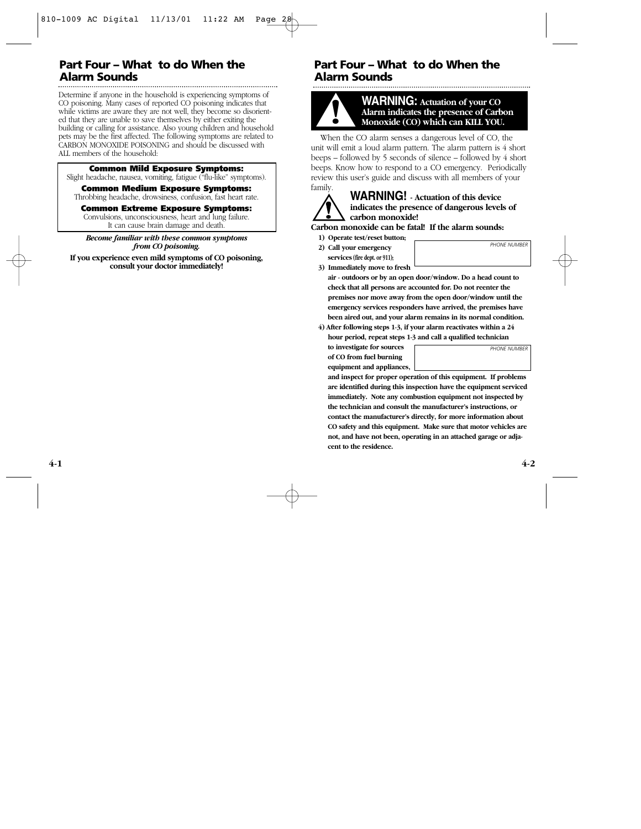## **Part Four – What to do When the Alarm Sounds**

Determine if anyone in the household is experiencing symptoms of CO poisoning. Many cases of reported CO poisoning indicates that while victims are aware they are not well, they become so disoriented that they are unable to save themselves by either exiting the building or calling for assistance. Also young children and household pets may be the first affected. The following symptoms are related to CARBON MONOXIDE POISONING and should be discussed with ALL members of the household:

#### **Common Mild Exposure Symptoms:**

Slight headache, nausea, vomiting, fatigue ("flu-like" symptoms).

#### **Common Medium Exposure Symptoms:**

Throbbing headache, drowsiness, confusion, fast heart rate.

#### **Common Extreme Exposure Symptoms:**

Convulsions, unconsciousness, heart and lung failure. It can cause brain damage and death.

*Become familiar with these common symptoms from CO poisoning.*

**If you experience even mild symptoms of CO poisoning, consult your doctor immediately!**

## **Part Four – What to do When the Alarm Sounds**



▲**! WARNING: Actuation of your CO Alarm indicates the presence of Carbon Monoxide (CO) which can KILL YOU.**

When the CO alarm senses a dangerous level of CO, the unit will emit a loud alarm pattern. The alarm pattern is 4 short beeps – followed by 5 seconds of silence – followed by 4 short beeps. Know how to respond to a CO emergency. Periodically review this user's guide and discuss with all members of your family.



#### **WARNING! - Actuation of this device indicates the presence of dangerous levels of carbon monoxide!**

**Carbon monoxide can be fatal! If the alarm sounds:**

- **1) Operate test/reset button;**
- **2) Call your emergency services (fire dept. or 911);**

*PHONE NUMBER*

**3) Immediately move to fresh** 

**air - outdoors or by an open door/window. Do a head count to check that all persons are accounted for. Do not reenter the premises nor move away from the open door/window until the emergency services responders have arrived, the premises have been aired out, and your alarm remains in its normal condition.**

**4) After following steps 1-3, if your alarm reactivates within a 24 hour period, repeat steps 1-3 and call a qualified technician**

**to investigate for sources of CO from fuel burning equipment and appliances,**  *PHONE NUMBER*

**and inspect for proper operation of this equipment. If problems are identified during this inspection have the equipment serviced immediately. Note any combustion equipment not inspected by the technician and consult the manufacturer's instructions, or contact the manufacturer's directly, for more information about CO safety and this equipment. Make sure that motor vehicles are not, and have not been, operating in an attached garage or adjacent to the residence.**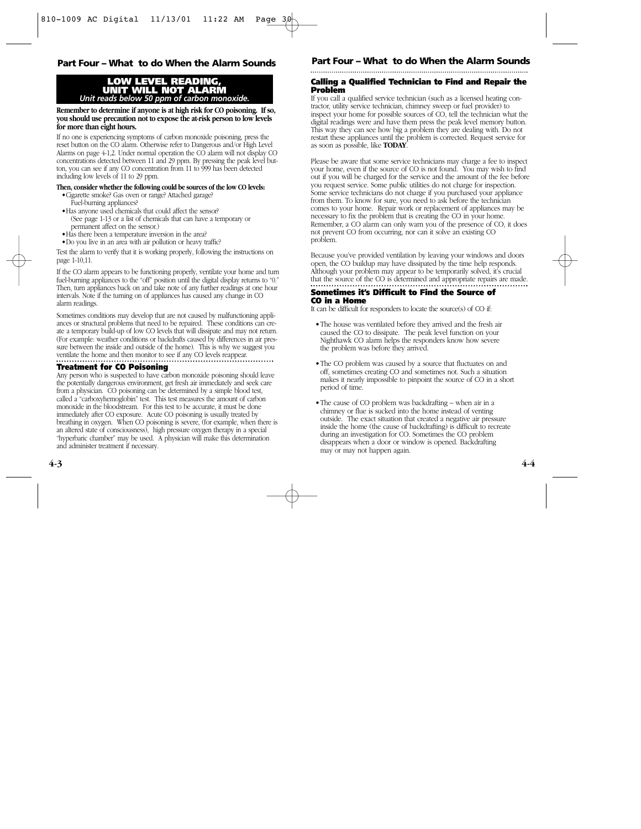## **Part Four – What to do When the Alarm Sounds Part Four – What to do When the Alarm Sounds**

#### **LOW LEVEL READING, UNIT WILL NOT ALARM** *Unit reads below 50 ppm of carbon monoxide.*

**Remember to determine if anyone is at high risk for CO poisoning. If so, you should use precaution not to expose the at-risk person to low levels for more than eight hours.**

If no one is experiencing symptoms of carbon monoxide poisoning, press the reset button on the CO alarm. Otherwise refer to Dangerous and/or High Level Alarms on page 4-1,2. Under normal operation the CO alarm will not display CO concentrations detected between 11 and 29 ppm. By pressing the peak level button, you can see if any CO concentration from 11 to 999 has been detected including low levels of 11 to 29 ppm.

#### **Then, consider whether the following could be sources of the low CO levels:**

- •Cigarette smoke? Gas oven or range? Attached garage? Fuel-burning appliances?
- •Has anyone used chemicals that could affect the sensor? (See page 1-13 or a list of chemicals that can have a temporary or permanent affect on the sensor.)
- •Has there been a temperature inversion in the area?
- •Do you live in an area with air pollution or heavy traffic?

Test the alarm to verify that it is working properly, following the instructions on page 1-10,11.

If the CO alarm appears to be functioning properly, ventilate your home and turn fuel-burning appliances to the "off" position until the digital display returns to "0." Then, turn appliances back on and take note of any further readings at one hour intervals. Note if the turning on of appliances has caused any change in CO alarm readings.

Sometimes conditions may develop that are not caused by malfunctioning appliances or structural problems that need to be repaired. These conditions can create a temporary build-up of low CO levels that will dissipate and may not return. (For example: weather conditions or backdrafts caused by differences in air pressure between the inside and outside of the home). This is why we suggest you ventilate the home and then monitor to see if any CO levels reappear.

#### **Treatment for CO Poisoning**

Any person who is suspected to have carbon monoxide poisoning should leave the potentially dangerous environment, get fresh air immediately and seek care from a physician. CO poisoning can be determined by a simple blood test, called a "carboxyhemoglobin" test. This test measures the amount of carbon monoxide in the bloodstream. For this test to be accurate, it must be done immediately after CO exposure. Acute CO poisoning is usually treated by breathing in oxygen. When CO poisoning is severe, (for example, when there is an altered state of consciousness), high pressure oxygen therapy in a special "hyperbaric chamber" may be used. A physician will make this determination and administer treatment if necessary.

#### **Calling a Qualified Technician to Find and Repair the Problem**

If you call a qualified service technician (such as a licensed heating contractor, utility service technician, chimney sweep or fuel provider) to inspect your home for possible sources of CO, tell the technician what the digital readings were and have them press the peak level memory button. This way they can see how big a problem they are dealing with. Do not restart these appliances until the problem is corrected. Request service for as soon as possible, like **TODAY**.

Please be aware that some service technicians may charge a fee to inspect your home, even if the source of CO is not found. You may wish to find out if you will be charged for the service and the amount of the fee before you request service. Some public utilities do not charge for inspection. Some service technicians do not charge if you purchased your appliance from them. To know for sure, you need to ask before the technician comes to your home. Repair work or replacement of appliances may be necessary to fix the problem that is creating the CO in your home. Remember, a CO alarm can only warn you of the presence of CO, it does not prevent CO from occurring, nor can it solve an existing CO problem.

Because you've provided ventilation by leaving your windows and doors open, the CO buildup may have dissipated by the time help responds. Although your problem may appear to be temporarily solved, it's crucial that the source of the CO is determined and appropriate repairs are made.

#### **Sometimes it's Difficult to Find the Source of CO in a Home**

It can be difficult for responders to locate the source(s) of CO if:

- •The house was ventilated before they arrived and the fresh air caused the CO to dissipate. The peak level function on your Nighthawk CO alarm helps the responders know how severe the problem was before they arrived.
- The CO problem was caused by a source that fluctuates on and off, sometimes creating CO and sometimes not. Such a situation makes it nearly impossible to pinpoint the source of CO in a short period of time.
- •The cause of CO problem was backdrafting when air in a chimney or flue is sucked into the home instead of venting outside. The exact situation that created a negative air pressure inside the home (the cause of backdrafting) is difficult to recreate during an investigation for CO. Sometimes the CO problem disappears when a door or window is opened. Backdrafting may or may not happen again.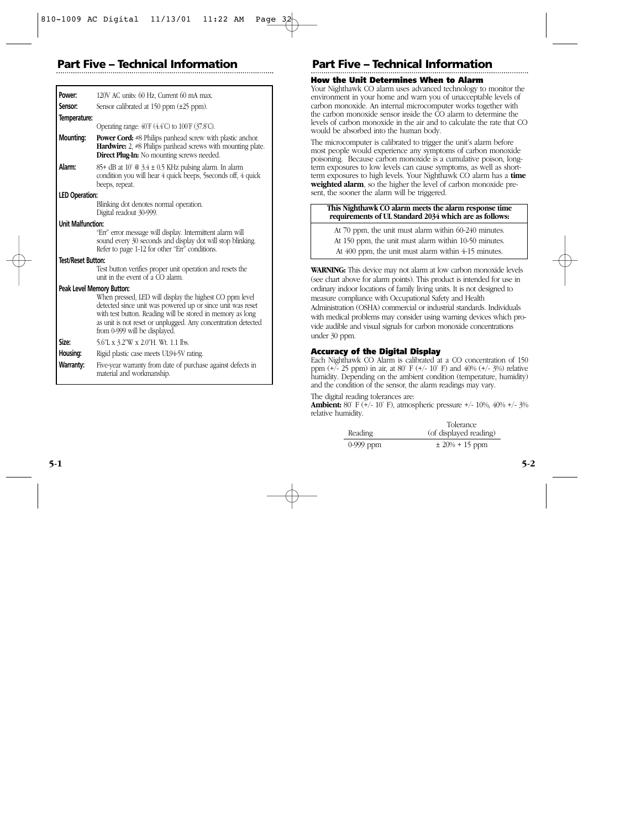## **Part Five – Technical Information Part Five**

| Power:                    | 120V AC units: 60 Hz, Current 60 mA max.                                                                                                                                                                                                                                              |
|---------------------------|---------------------------------------------------------------------------------------------------------------------------------------------------------------------------------------------------------------------------------------------------------------------------------------|
| Sensor:                   | Sensor calibrated at $150$ ppm $(\pm 25$ ppm).                                                                                                                                                                                                                                        |
| Temperature:              |                                                                                                                                                                                                                                                                                       |
|                           | Operating range: 40°F (4.4°C) to 100°F (37.8°C).                                                                                                                                                                                                                                      |
| <b>Mounting:</b>          | <b>Power Cord:</b> #8 Philips panhead screw with plastic anchor.<br><b>Hardwire:</b> 2, #8 Philips panhead screws with mounting plate.<br><b>Direct Plug-In:</b> No mounting screws needed.                                                                                           |
| Alarm:                    | $85+$ dB at 10' @ 3.4 $\pm$ 0.5 KHz pulsing alarm. In alarm<br>condition you will hear 4 quick beeps, 5 seconds off, 4 quick<br>beeps, repeat.                                                                                                                                        |
| <b>LED Operation:</b>     |                                                                                                                                                                                                                                                                                       |
|                           | Blinking dot denotes normal operation.<br>Digital readout 30-999.                                                                                                                                                                                                                     |
| <b>Unit Malfunction:</b>  |                                                                                                                                                                                                                                                                                       |
|                           | "Err" error message will display. Intermittent alarm will<br>sound every 30 seconds and display dot will stop blinking.<br>Refer to page 1-12 for other "Err" conditions.                                                                                                             |
| <b>Test/Reset Button:</b> |                                                                                                                                                                                                                                                                                       |
|                           | Test button verifies proper unit operation and resets the<br>unit in the event of a CO alarm.                                                                                                                                                                                         |
| Peak Level Memory Button: |                                                                                                                                                                                                                                                                                       |
|                           | When pressed, LED will display the highest CO ppm level<br>detected since unit was powered up or since unit was reset<br>with test button. Reading will be stored in memory as long<br>as unit is not reset or unplugged. Any concentration detected<br>from 0-999 will be displayed. |
| Size:                     | 5.6"L x 3.2"W x 2.0"H. Wt. 1.1 lbs.                                                                                                                                                                                                                                                   |
| Housing:                  | Rigid plastic case meets UL94-5V rating.                                                                                                                                                                                                                                              |
| Warranty:                 | Five-year warranty from date of purchase against defects in<br>material and workmanship.                                                                                                                                                                                              |

## **– Technical Information**

#### **How the Unit Determines When to Alarm**

Your Nighthawk CO alarm uses advanced technology to monitor the environment in your home and warn you of unacceptable levels of carbon monoxide. An internal microcomputer works together with the carbon monoxide sensor inside the CO alarm to determine the levels of carbon monoxide in the air and to calculate the rate that CO would be absorbed into the human body.

The microcomputer is calibrated to trigger the unit's alarm before most people would experience any symptoms of carbon monoxide poisoning. Because carbon monoxide is a cumulative poison, longterm exposures to low levels can cause symptoms, as well as shortterm exposures to high levels. Your Nighthawk CO alarm has a **time weighted alarm**, so the higher the level of carbon monoxide present, the sooner the alarm will be triggered.

#### **This Nighthawk CO alarm meets the alarm response time requirements of UL Standard 2034 which are as follows:**

At 70 ppm, the unit must alarm within 60-240 minutes.

At 150 ppm, the unit must alarm within 10-50 minutes.

At 400 ppm, the unit must alarm within 4-15 minutes.

**WARNING:** This device may not alarm at low carbon monoxide levels (see chart above for alarm points). This product is intended for use in ordinary indoor locations of family living units. It is not designed to measure compliance with Occupational Safety and Health Administration (OSHA) commercial or industrial standards. Individuals with medical problems may consider using warning devices which provide audible and visual signals for carbon monoxide concentrations under 30 ppm.

#### **Accuracy of the Digital Display**

Each Nighthawk CO Alarm is calibrated at a CO concentration of 150 ppm  $(+/- 25$  ppm) in air, at 80° F  $(+/- 10)$ ° F) and 40%  $(+/- 3%)$  relative humidity. Depending on the ambient condition (temperature, humidity) and the condition of the sensor, the alarm readings may vary.

The digital reading tolerances are:

**Ambient:** 80° F (+/- 10° F), atmospheric pressure +/- 10%, 40% +/- 3% relative humidity.

|             | Tolerance              |  |  |
|-------------|------------------------|--|--|
| Reading     | (of displayed reading) |  |  |
| $0-999$ ppm | $\pm 20\% + 15$ ppm    |  |  |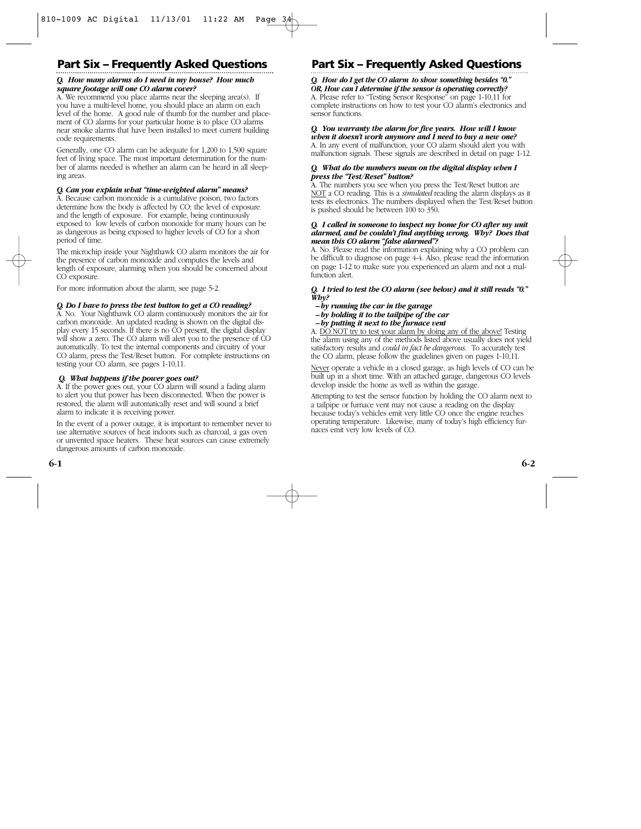## **Part Six – Frequently Asked Questions**

#### *Q. How many alarms do I need in my house? How much square footage will one CO alarm cover?*

A. We recommend you place alarms near the sleeping area(s). If you have a multi-level home, you should place an alarm on each level of the home. A good rule of thumb for the number and placement of CO alarms for your particular home is to place CO alarms near smoke alarms that have been installed to meet current building code requirements.

Generally, one CO alarm can be adequate for 1,200 to 1,500 square feet of living space. The most important determination for the number of alarms needed is whether an alarm can be heard in all sleeping areas.

#### *Q. Can you explain what "time-weighted alarm" means?*

A. Because carbon monoxide is a cumulative poison, two factors determine how the body is affected by CO: the level of exposure and the length of exposure. For example, being continuously exposed to low levels of carbon monoxide for many hours can be as dangerous as being exposed to higher levels of CO for a short period of time.

The microchip inside your Nighthawk CO alarm monitors the air for the presence of carbon monoxide and computes the levels and length of exposure, alarming when you should be concerned about CO exposure.

For more information about the alarm, see page 5-2.

#### *Q. Do I have to press the test button to get a CO reading?*

A. No. Your Nighthawk CO alarm continuously monitors the air for carbon monoxide. An updated reading is shown on the digital display every 15 seconds. If there is no CO present, the digital display will show a zero. The CO alarm will alert you to the presence of CO automatically. To test the internal components and circuitry of your CO alarm, press the Test/Reset button. For complete instructions on testing your CO alarm, see pages 1-10,11.

#### *Q. What happens if the power goes out?*

A. If the power goes out, your CO alarm will sound a fading alarm to alert you that power has been disconnected. When the power is restored, the alarm will automatically reset and will sound a brief alarm to indicate it is receiving power.

In the event of a power outage, it is important to remember never to use alternative sources of heat indoors such as charcoal, a gas oven or unvented space heaters. These heat sources can cause extremely dangerous amounts of carbon monoxide.

## **Part Six – Frequently Asked Questions**

*Q. How do I get the CO alarm to show something besides "0." OR, How can I determine if the sensor is operating correctly?* A. Please refer to "Testing Sensor Response" on page 1-10,11 for complete instructions on how to test your CO alarm's electronics and sensor functions.

#### *Q. You warranty the alarm for five years. How will I know when it doesn't work anymore and I need to buy a new one?*

A. In any event of malfunction, your CO alarm should alert you with malfunction signals. These signals are described in detail on page 1-12.

#### *Q. What do the numbers mean on the digital display when I press the "Test/Reset" button?*

A. The numbers you see when you press the Test/Reset button are NOT a CO reading. This is a *simulated* reading the alarm displays as it tests its electronics. The numbers displayed when the Test/Reset button is pushed should be between 100 to 350.

#### *Q. I called in someone to inspect my home for CO after my unit alarmed, and he couldn't find anything wrong. Why? Does that mean this CO alarm "false alarmed"?*

A. No. Please read the information explaining why a CO problem can be difficult to diagnose on page 4-4. Also, please read the information on page 1-12 to make sure you experienced an alarm and not a malfunction alert.

#### *Q. I tried to test the CO alarm (see below) and it still reads "0." Why?*

- *by running the car in the garage*
- *by holding it to the tailpipe of the car*
- *by putting it next to the furnace vent*

A. DO NOT try to test your alarm by doing any of the above! Testing the alarm using any of the methods listed above usually does not yield satisfactory results and *could in fact be dangerous*. To accurately test the CO alarm, please follow the guidelines given on pages 1-10,11.

Never operate a vehicle in a closed garage, as high levels of CO can be built up in a short time. With an attached garage, dangerous CO levels develop inside the home as well as within the garage.

Attempting to test the sensor function by holding the CO alarm next to a tailpipe or furnace vent may not cause a reading on the display because today's vehicles emit very little CO once the engine reaches operating temperature. Likewise, many of today's high efficiency furnaces emit very low levels of CO.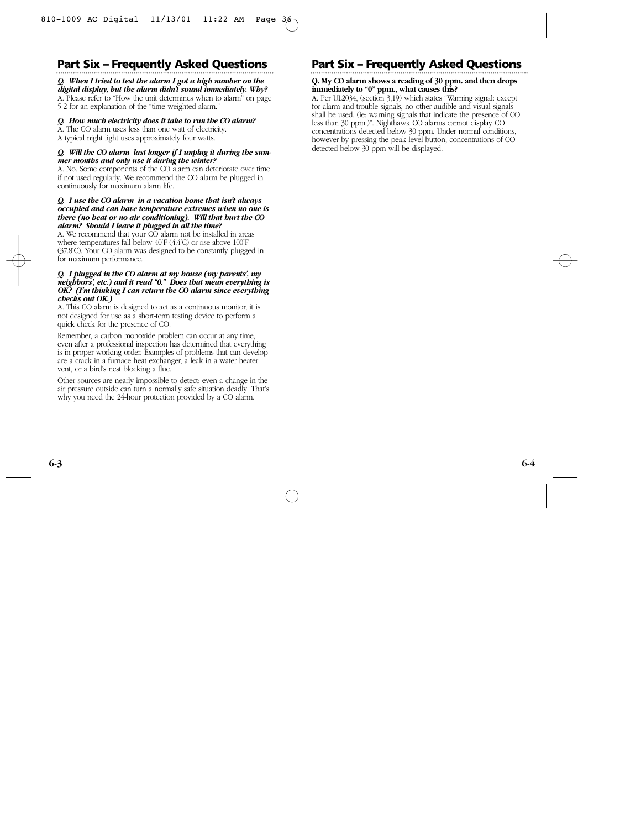## **Part Six – Frequently Asked Questions**

#### *Q. When I tried to test the alarm I got a high number on the digital display, but the alarm didn't sound immediately. Why?*

A. Please refer to "How the unit determines when to alarm" on page 5-2 for an explanation of the "time weighted alarm."

#### *Q. How much electricity does it take to run the CO alarm?*

A. The CO alarm uses less than one watt of electricity. A typical night light uses approximately four watts.

#### *Q. Will the CO alarm last longer if I unplug it during the summer months and only use it during the winter?*

A. No. Some components of the CO alarm can deteriorate over time if not used regularly. We recommend the CO alarm be plugged in continuously for maximum alarm life.

#### *Q. I use the CO alarm in a vacation home that isn't always occupied and can have temperature extremes when no one is there (no heat or no air conditioning). Will that hurt the CO alarm? Should I leave it plugged in all the time?*

A. We recommend that your CO alarm not be installed in areas where temperatures fall below 40˚F (4.4˚C) or rise above 100˚F (37.8˚C). Your CO alarm was designed to be constantly plugged in for maximum performance.

#### *Q. I plugged in the CO alarm at my house (my parents', my neighbors', etc.) and it read "0." Does that mean everything is OK? (I'm thinking I can return the CO alarm since everything checks out OK.)*

A. This CO alarm is designed to act as a continuous monitor, it is not designed for use as a short-term testing device to perform a quick check for the presence of CO.

Remember, a carbon monoxide problem can occur at any time, even after a professional inspection has determined that everything is in proper working order. Examples of problems that can develop are a crack in a furnace heat exchanger, a leak in a water heater vent, or a bird's nest blocking a flue.

Other sources are nearly impossible to detect: even a change in the air pressure outside can turn a normally safe situation deadly. That's why you need the 24-hour protection provided by a CO alarm.

## **Part Six – Frequently Asked Questions**

#### **Q. My CO alarm shows a reading of 30 ppm. and then drops immediately to "0" ppm., what causes this?**

A. Per UL2034, (section 3,19) which states "Warning signal: except for alarm and trouble signals, no other audible and visual signals shall be used. (ie: warning signals that indicate the presence of CO less than 30 ppm.)". Nighthawk CO alarms cannot display CO concentrations detected below 30 ppm. Under normal conditions, however by pressing the peak level button, concentrations of CO detected below 30 ppm will be displayed.